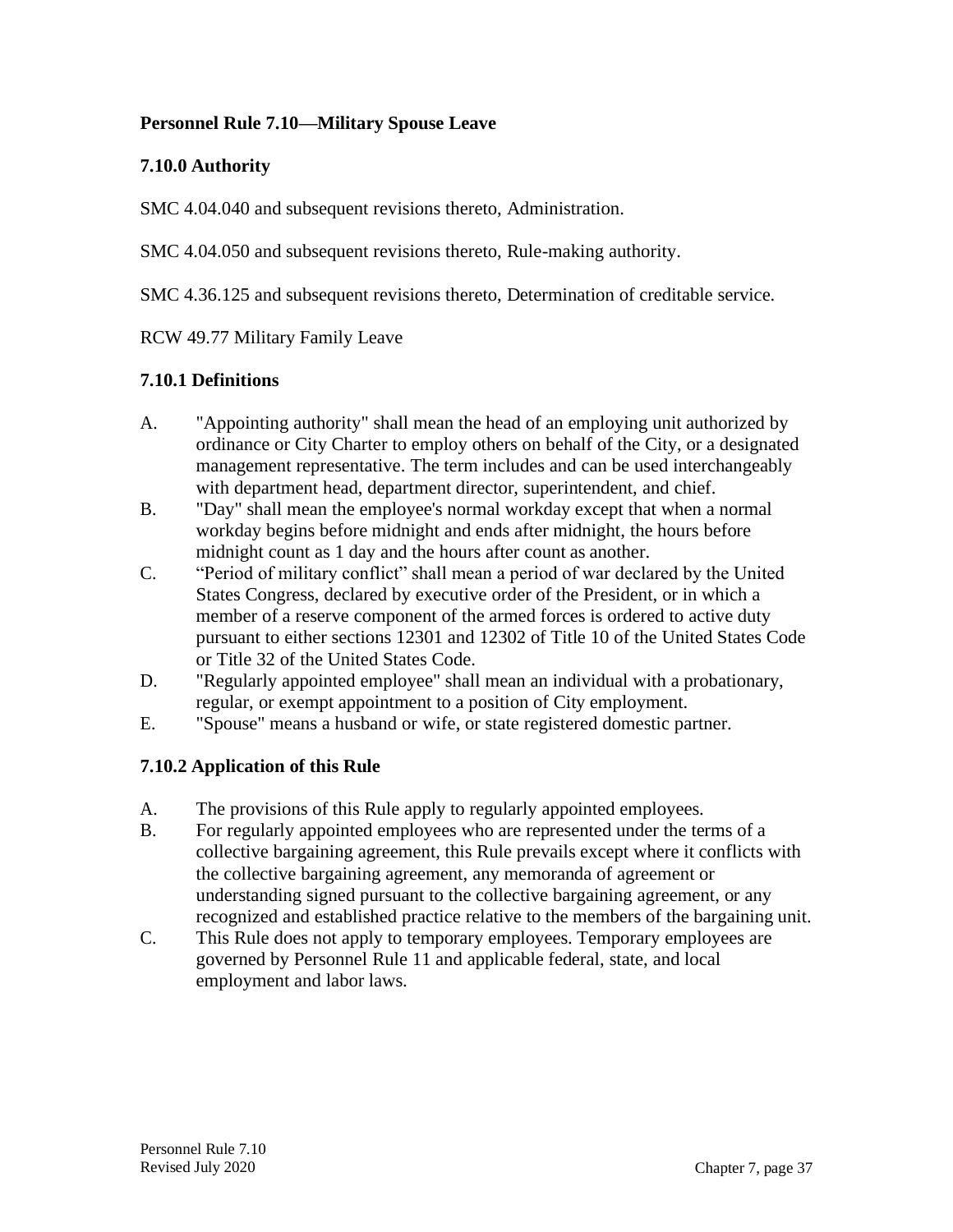## **Personnel Rule 7.10—Military Spouse Leave**

## **7.10.0 Authority**

SMC 4.04.040 and subsequent revisions thereto, Administration.

SMC 4.04.050 and subsequent revisions thereto, Rule-making authority.

SMC 4.36.125 and subsequent revisions thereto, Determination of creditable service.

## RCW 49.77 Military Family Leave

## **7.10.1 Definitions**

- A. "Appointing authority" shall mean the head of an employing unit authorized by ordinance or City Charter to employ others on behalf of the City, or a designated management representative. The term includes and can be used interchangeably with department head, department director, superintendent, and chief.
- B. "Day" shall mean the employee's normal workday except that when a normal workday begins before midnight and ends after midnight, the hours before midnight count as 1 day and the hours after count as another.
- C. "Period of military conflict" shall mean a period of war declared by the United States Congress, declared by executive order of the President, or in which a member of a reserve component of the armed forces is ordered to active duty pursuant to either sections 12301 and 12302 of Title 10 of the United States Code or Title 32 of the United States Code.
- D. "Regularly appointed employee" shall mean an individual with a probationary, regular, or exempt appointment to a position of City employment.
- E. "Spouse" means a husband or wife, or state registered domestic partner.

# **7.10.2 Application of this Rule**

- A. The provisions of this Rule apply to regularly appointed employees.
- B. For regularly appointed employees who are represented under the terms of a collective bargaining agreement, this Rule prevails except where it conflicts with the collective bargaining agreement, any memoranda of agreement or understanding signed pursuant to the collective bargaining agreement, or any recognized and established practice relative to the members of the bargaining unit.
- C. This Rule does not apply to temporary employees. Temporary employees are governed by Personnel Rule 11 and applicable federal, state, and local employment and labor laws.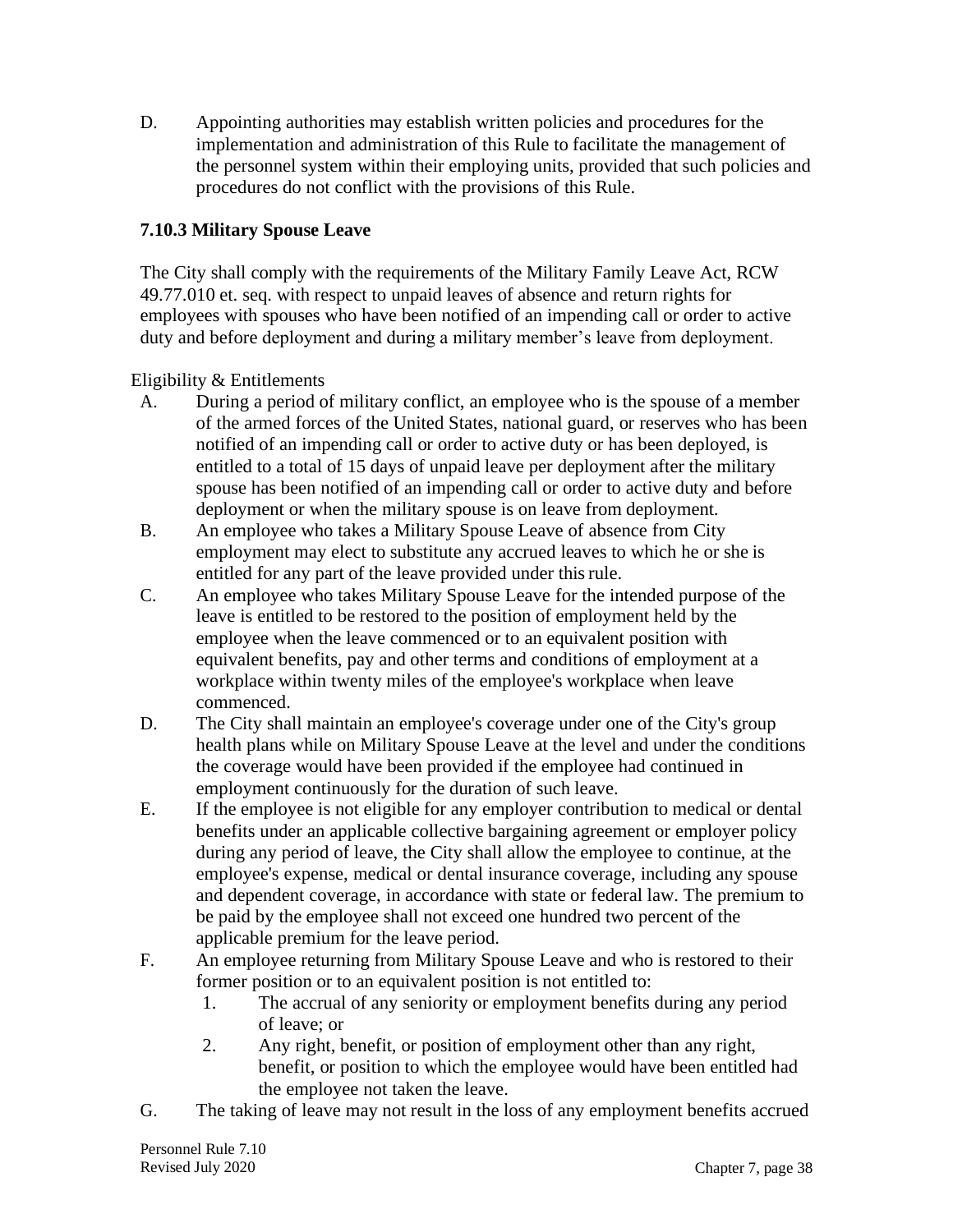D. Appointing authorities may establish written policies and procedures for the implementation and administration of this Rule to facilitate the management of the personnel system within their employing units, provided that such policies and procedures do not conflict with the provisions of this Rule.

# **7.10.3 Military Spouse Leave**

The City shall comply with the requirements of the Military Family Leave Act, RCW 49.77.010 et. seq. with respect to unpaid leaves of absence and return rights for employees with spouses who have been notified of an impending call or order to active duty and before deployment and during a military member's leave from deployment.

Eligibility & Entitlements

- A. During a period of military conflict, an employee who is the spouse of a member of the armed forces of the United States, national guard, or reserves who has been notified of an impending call or order to active duty or has been deployed, is entitled to a total of 15 days of unpaid leave per deployment after the military spouse has been notified of an impending call or order to active duty and before deployment or when the military spouse is on leave from deployment.
- B. An employee who takes a Military Spouse Leave of absence from City employment may elect to substitute any accrued leaves to which he or she is entitled for any part of the leave provided under this rule.
- C. An employee who takes Military Spouse Leave for the intended purpose of the leave is entitled to be restored to the position of employment held by the employee when the leave commenced or to an equivalent position with equivalent benefits, pay and other terms and conditions of employment at a workplace within twenty miles of the employee's workplace when leave commenced.
- D. The City shall maintain an employee's coverage under one of the City's group health plans while on Military Spouse Leave at the level and under the conditions the coverage would have been provided if the employee had continued in employment continuously for the duration of such leave.
- E. If the employee is not eligible for any employer contribution to medical or dental benefits under an applicable collective bargaining agreement or employer policy during any period of leave, the City shall allow the employee to continue, at the employee's expense, medical or dental insurance coverage, including any spouse and dependent coverage, in accordance with state or federal law. The premium to be paid by the employee shall not exceed one hundred two percent of the applicable premium for the leave period.
- F. An employee returning from Military Spouse Leave and who is restored to their former position or to an equivalent position is not entitled to:
	- 1. The accrual of any seniority or employment benefits during any period of leave; or
	- 2. Any right, benefit, or position of employment other than any right, benefit, or position to which the employee would have been entitled had the employee not taken the leave.
- G. The taking of leave may not result in the loss of any employment benefits accrued